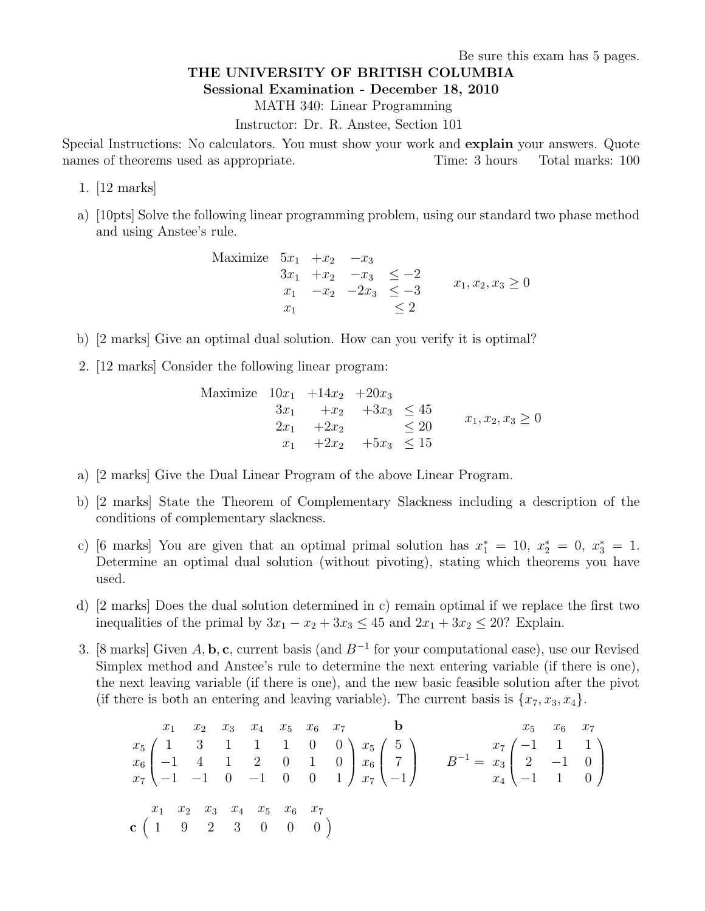Be sure this exam has 5 pages.

## THE UNIVERSITY OF BRITISH COLUMBIA

Sessional Examination - December 18, 2010

MATH 340: Linear Programming

Instructor: Dr. R. Anstee, Section 101

Special Instructions: No calculators. You must show your work and explain your answers. Quote names of theorems used as appropriate. Time: 3 hours Total marks: 100

- 1. [12 marks]
- a) [10pts] Solve the following linear programming problem, using our standard two phase method and using Anstee's rule.

Maximize  $5x_1$  + $x_2$  - $x_3$  $3x_1 + x_2 - x_3 \leq -2$  $x_1$  − $x_2$  −2 $x_3$  ≤ −3  $x_1 \leq 2$  $x_1, x_2, x_3 \geq 0$ 

- b) [2 marks] Give an optimal dual solution. How can you verify it is optimal?
- 2. [12 marks] Consider the following linear program:

Maximize 
$$
10x_1 + 14x_2 + 20x_3
$$
  
\n $3x_1 + x_2 + 3x_3 \le 45$   
\n $2x_1 + 2x_2 \le 20$   
\n $x_1 + 2x_2 + 5x_3 \le 15$   
\n $x_1 + 2x_2 + 5x_3 \le 15$ 

- a) [2 marks] Give the Dual Linear Program of the above Linear Program.
- b) [2 marks] State the Theorem of Complementary Slackness including a description of the conditions of complementary slackness.
- c) [6 marks] You are given that an optimal primal solution has  $x_1^* = 10$ ,  $x_2^* = 0$ ,  $x_3^* = 1$ . Determine an optimal dual solution (without pivoting), stating which theorems you have used.
- d) [2 marks] Does the dual solution determined in c) remain optimal if we replace the first two inequalities of the primal by  $3x_1 - x_2 + 3x_3 \le 45$  and  $2x_1 + 3x_2 \le 20$ ? Explain.
- 3. [8 marks] Given A, b, c, current basis (and  $B^{-1}$  for your computational ease), use our Revised Simplex method and Anstee's rule to determine the next entering variable (if there is one), the next leaving variable (if there is one), and the new basic feasible solution after the pivot (if there is both an entering and leaving variable). The current basis is  $\{x_7, x_3, x_4\}$ .

 x<sup>1</sup> x<sup>2</sup> x<sup>3</sup> x<sup>4</sup> x<sup>5</sup> x<sup>6</sup> x<sup>7</sup> x<sup>5</sup> 1 3 1 1 1 0 0 x<sup>6</sup> −1 4 1 2 0 1 0 x<sup>7</sup> −1 −1 0 −1 0 0 1 b x<sup>5</sup> 5 x<sup>6</sup> 7 x<sup>7</sup> −1 <sup>B</sup> <sup>−</sup><sup>1</sup> = x<sup>5</sup> x<sup>6</sup> x<sup>7</sup> x<sup>7</sup> −1 1 1 x<sup>3</sup> 2 −1 0 x<sup>4</sup> −1 1 0 x<sup>1</sup> x<sup>2</sup> x<sup>3</sup> x<sup>4</sup> x<sup>5</sup> x<sup>6</sup> x<sup>7</sup> c 1 9 2 3 0 0 0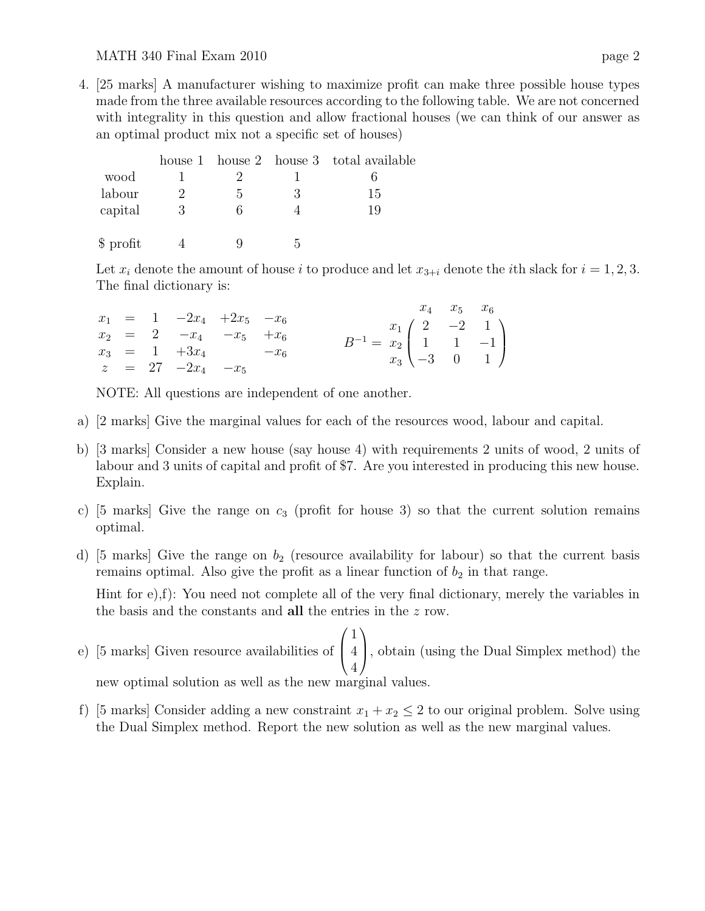#### MATH 340 Final Exam 2010 page 2

4. [25 marks] A manufacturer wishing to maximize profit can make three possible house types made from the three available resources according to the following table. We are not concerned with integrality in this question and allow fractional houses (we can think of our answer as an optimal product mix not a specific set of houses)

|           |              |   | house 1 house 2 house 3 total available |
|-----------|--------------|---|-----------------------------------------|
| wood      |              |   |                                         |
| labour    | $\mathbf{D}$ | 3 | 15                                      |
| capital   |              |   | 19                                      |
| \$ profit |              |   |                                         |

Let  $x_i$  denote the amount of house i to produce and let  $x_{3+i}$  denote the ith slack for  $i = 1, 2, 3$ . The final dictionary is:

|  |                            |  |                                                                                                 |  | $x_4$ $x_5$ $x_6$ |
|--|----------------------------|--|-------------------------------------------------------------------------------------------------|--|-------------------|
|  | $x_1 = 1 -2x_4 +2x_5 -x_6$ |  |                                                                                                 |  |                   |
|  | $x_2 = 2 -x_4 -x_5 +x_6$   |  |                                                                                                 |  |                   |
|  | $x_3 = 1 +3x_4 -x_6$       |  | $B^{-1} = \frac{x_1}{x_2} \begin{pmatrix} 2 & -2 & 1 \\ 1 & 1 & -1 \\ -3 & 0 & 1 \end{pmatrix}$ |  |                   |
|  | $z = 27 -2x_4 -x_5$        |  |                                                                                                 |  |                   |

NOTE: All questions are independent of one another.

- a) [2 marks] Give the marginal values for each of the resources wood, labour and capital.
- b) [3 marks] Consider a new house (say house 4) with requirements 2 units of wood, 2 units of labour and 3 units of capital and profit of \$7. Are you interested in producing this new house. Explain.
- c) [5 marks] Give the range on  $c_3$  (profit for house 3) so that the current solution remains optimal.
- d) [5 marks] Give the range on  $b_2$  (resource availability for labour) so that the current basis remains optimal. Also give the profit as a linear function of  $b_2$  in that range.

Hint for e),f): You need not complete all of the very final dictionary, merely the variables in the basis and the constants and all the entries in the z row.

- e) [5 marks] Given resource availabilities of  $\sqrt{ }$  $\overline{ }$ 1 4 4  $\setminus$ , obtain (using the Dual Simplex method) the new optimal solution as well as the new marginal values.
- f) [5 marks] Consider adding a new constraint  $x_1 + x_2 \leq 2$  to our original problem. Solve using the Dual Simplex method. Report the new solution as well as the new marginal values.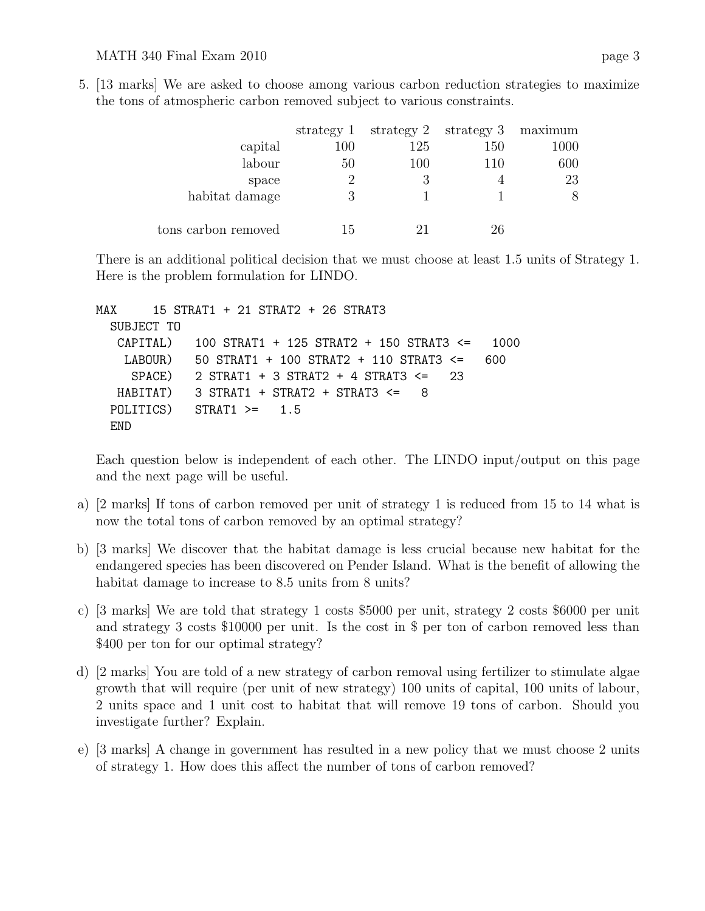5. [13 marks] We are asked to choose among various carbon reduction strategies to maximize the tons of atmospheric carbon removed subject to various constraints.

|                     | strategy 1 |     | strategy $2$ strategy $3$ maximum |      |
|---------------------|------------|-----|-----------------------------------|------|
| capital             | 100        | 125 | 150                               | 1000 |
| labour              | 50         | 100 | 110                               | 600  |
| space               |            | 3   |                                   | 23   |
| habitat damage      |            |     |                                   | 8    |
| tons carbon removed | 15         |     | 26                                |      |

There is an additional political decision that we must choose at least 1.5 units of Strategy 1. Here is the problem formulation for LINDO.

```
MAX 15 STRAT1 + 21 STRAT2 + 26 STRAT3
SUBJECT TO
CAPITAL) 100 STRAT1 + 125 STRAT2 + 150 STRAT3 <= 1000
 LABOUR) 50 STRAT1 + 100 STRAT2 + 110 STRAT3 <= 600
  SPACE) 2 STRAT1 + 3 STRAT2 + 4 STRAT3 <= 23
HABITAT) 3 STRAT1 + STRAT2 + STRAT3 <= 8
POLITICS) STRAT1 >= 1.5
END
```
Each question below is independent of each other. The LINDO input/output on this page and the next page will be useful.

- a) [2 marks] If tons of carbon removed per unit of strategy 1 is reduced from 15 to 14 what is now the total tons of carbon removed by an optimal strategy?
- b) [3 marks] We discover that the habitat damage is less crucial because new habitat for the endangered species has been discovered on Pender Island. What is the benefit of allowing the habitat damage to increase to 8.5 units from 8 units?
- c) [3 marks] We are told that strategy 1 costs \$5000 per unit, strategy 2 costs \$6000 per unit and strategy 3 costs \$10000 per unit. Is the cost in \$ per ton of carbon removed less than \$400 per ton for our optimal strategy?
- d) [2 marks] You are told of a new strategy of carbon removal using fertilizer to stimulate algae growth that will require (per unit of new strategy) 100 units of capital, 100 units of labour, 2 units space and 1 unit cost to habitat that will remove 19 tons of carbon. Should you investigate further? Explain.
- e) [3 marks] A change in government has resulted in a new policy that we must choose 2 units of strategy 1. How does this affect the number of tons of carbon removed?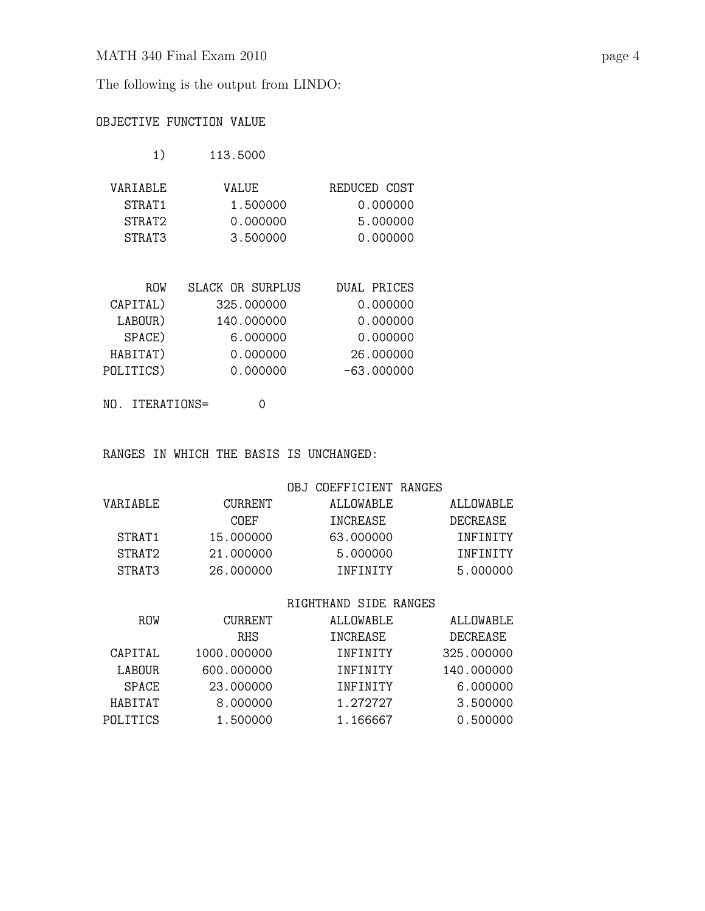The following is the output from LINDO:

# OBJECTIVE FUNCTION VALUE

| 1) | 113.5000 |
|----|----------|
|    |          |

| VARTABLE           | VALUE.   | REDUCED COST |
|--------------------|----------|--------------|
| STRAT <sub>1</sub> | 1.500000 | 0.000000     |
| STRAT2             | 0.000000 | 5.000000     |
| STRAT3             | 3.500000 | 0.000000     |

| <b>ROW</b> | SLACK OR SURPLUS | DUAL PRICES  |
|------------|------------------|--------------|
| CAPITAL)   | 325.000000       | 0.000000     |
| LABOUR)    | 140.000000       | 0.000000     |
| SPACE)     | 6.000000         | 0.000000     |
| HABITAT)   | 0.000000         | 26.000000    |
| POLITICS)  | 0.000000         | $-63.000000$ |
|            |                  |              |

NO. ITERATIONS= 0

RANGES IN WHICH THE BASIS IS UNCHANGED:

## OBJ COEFFICIENT RANGES

| VARTABLE.          | <b>CURRENT</b> | ALLOWABLE. | ALLOWABLE |
|--------------------|----------------|------------|-----------|
|                    | COEF           | TNCREASE.  | DECREASE. |
| STRAT <sub>1</sub> | 15,000000      | 63.000000  | TNFTNTTY  |
| STRAT2             | 21,000000      | 5.000000   | TNFTNTTY  |
| STRAT3             | 26,000000      | TNFTNTTY   | 5.000000  |

## RIGHTHAND SIDE RANGES

| <b>ROW</b>    | <b>CURRENT</b> | ALLOWABLE       | ALLOWABLE  |
|---------------|----------------|-----------------|------------|
|               | <b>RHS</b>     | INCREASE        | DECREASE   |
| CAPITAL       | 1000.000000    | <b>TNFTNTTY</b> | 325.000000 |
| <b>LABOUR</b> | 600.000000     | <b>TNFTNTTY</b> | 140.000000 |
| <b>SPACE</b>  | 23.000000      | <b>TNFTNTTY</b> | 6.000000   |
| HABITAT       | 8.000000       | 1.272727        | 3.500000   |
| POLITICS      | 1.500000       | 1.166667        | 0.500000   |